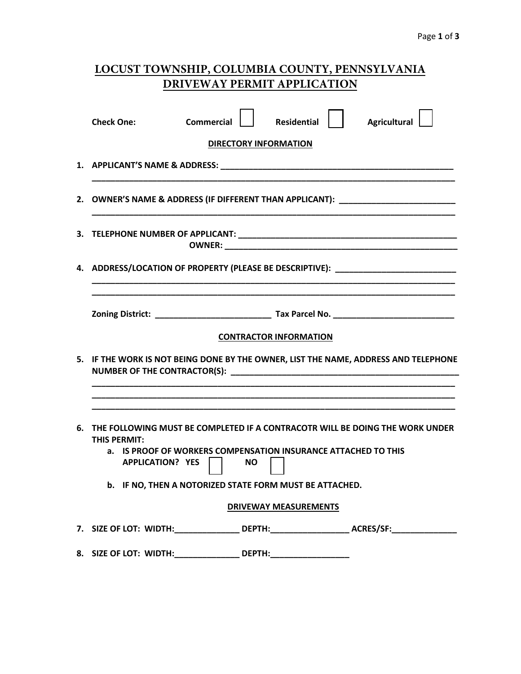| LOCUST TOWNSHIP, COLUMBIA COUNTY, PENNSYLVANIA |  |
|------------------------------------------------|--|
| DRIVEWAY PERMIT APPLICATION                    |  |

|    | <b>Agricultural</b><br><b>Residential</b><br><b>Check One:</b><br><b>Commercial</b>                                                                                                                 |  |  |
|----|-----------------------------------------------------------------------------------------------------------------------------------------------------------------------------------------------------|--|--|
|    | <b>DIRECTORY INFORMATION</b>                                                                                                                                                                        |  |  |
|    |                                                                                                                                                                                                     |  |  |
|    | 2. OWNER'S NAME & ADDRESS (IF DIFFERENT THAN APPLICANT): _______________________                                                                                                                    |  |  |
|    |                                                                                                                                                                                                     |  |  |
|    | 4. ADDRESS/LOCATION OF PROPERTY (PLEASE BE DESCRIPTIVE): _______________________                                                                                                                    |  |  |
|    | <b>CONTRACTOR INFORMATION</b>                                                                                                                                                                       |  |  |
| 5. | IF THE WORK IS NOT BEING DONE BY THE OWNER, LIST THE NAME, ADDRESS AND TELEPHONE                                                                                                                    |  |  |
| 6. | THE FOLLOWING MUST BE COMPLETED IF A CONTRACOTR WILL BE DOING THE WORK UNDER<br>THIS PFRMIT:<br>IS PROOF OF WORKERS COMPENSATION INSURANCE ATTACHED TO THIS<br>а.<br><b>APPLICATION? YES</b><br>NO. |  |  |
|    | b. IF NO, THEN A NOTORIZED STATE FORM MUST BE ATTACHED.                                                                                                                                             |  |  |
|    | <b>DRIVEWAY MEASUREMENTS</b>                                                                                                                                                                        |  |  |
|    | 7. SIZE OF LOT: WIDTH:__________________ DEPTH:_____________________ ACRES/SF:_____________________                                                                                                 |  |  |
|    | 8. SIZE OF LOT: WIDTH:____________________DEPTH:________________________________                                                                                                                    |  |  |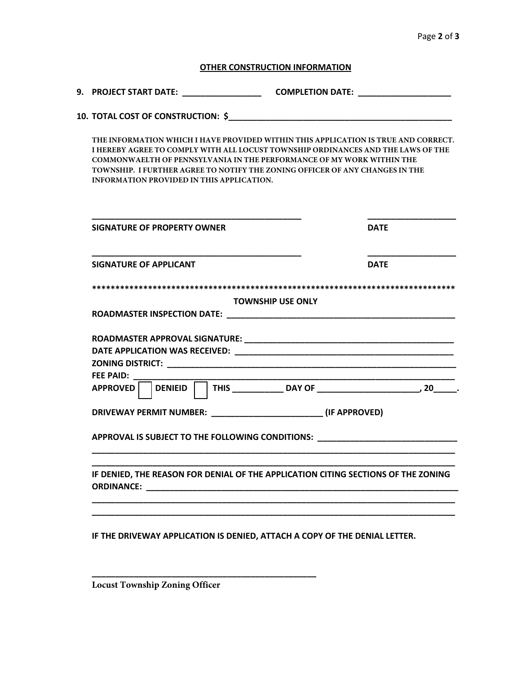## **OTHER CONSTRUCTION INFORMATION**

## **10. TOTAL COST OF CONSTRUCTION: \$\_\_\_\_\_\_\_\_\_\_\_\_\_\_\_\_\_\_\_\_\_\_\_\_\_\_\_\_\_\_\_\_\_\_\_\_\_\_\_\_\_\_\_\_\_\_\_\_**

**THE INFORMATION WHICH I HAVE PROVIDED WITHIN THIS APPLICATION IS TRUE AND CORRECT. I HEREBY AGREE TO COMPLY WITH ALL LOCUST TOWNSHIP ORDINANCES AND THE LAWS OF THE COMMONWAELTH OF PENNSYLVANIA IN THE PERFORMANCE OF MY WORK WITHIN THE TOWNSHIP. I FURTHER AGREE TO NOTIFY THE ZONING OFFICER OF ANY CHANGES IN THE INFORMATION PROVIDED IN THIS APPLICATION.**

| SIGNATURE OF PROPERTY OWNER                                                                                                                                                                                                                                          | <b>DATF</b><br><b>DATF</b> |  |
|----------------------------------------------------------------------------------------------------------------------------------------------------------------------------------------------------------------------------------------------------------------------|----------------------------|--|
| <b>SIGNATURE OF APPLICANT</b>                                                                                                                                                                                                                                        |                            |  |
| <b>TOWNSHIP USE ONLY</b>                                                                                                                                                                                                                                             |                            |  |
|                                                                                                                                                                                                                                                                      |                            |  |
| FEE PAID: The same of the same of the same of the same of the same of the same of the same of the same of the same of the same of the same of the same of the same of the same of the same of the same of the same of the same<br><b>APPROVED</b><br>$ $ DENIEID $ $ |                            |  |
|                                                                                                                                                                                                                                                                      |                            |  |
| APPROVAL IS SUBJECT TO THE FOLLOWING CONDITIONS: _______________________________                                                                                                                                                                                     |                            |  |
| IF DENIED, THE REASON FOR DENIAL OF THE APPLICATION CITING SECTIONS OF THE ZONING                                                                                                                                                                                    |                            |  |

**IF THE DRIVEWAY APPLICATION IS DENIED, ATTACH A COPY OF THE DENIAL LETTER.** 

**Locust Township Zoning Officer**

**\_\_\_\_\_\_\_\_\_\_\_\_\_\_\_\_\_\_\_\_\_\_\_\_\_\_\_\_\_\_\_\_\_\_\_\_\_\_\_\_\_\_\_\_\_\_\_\_**